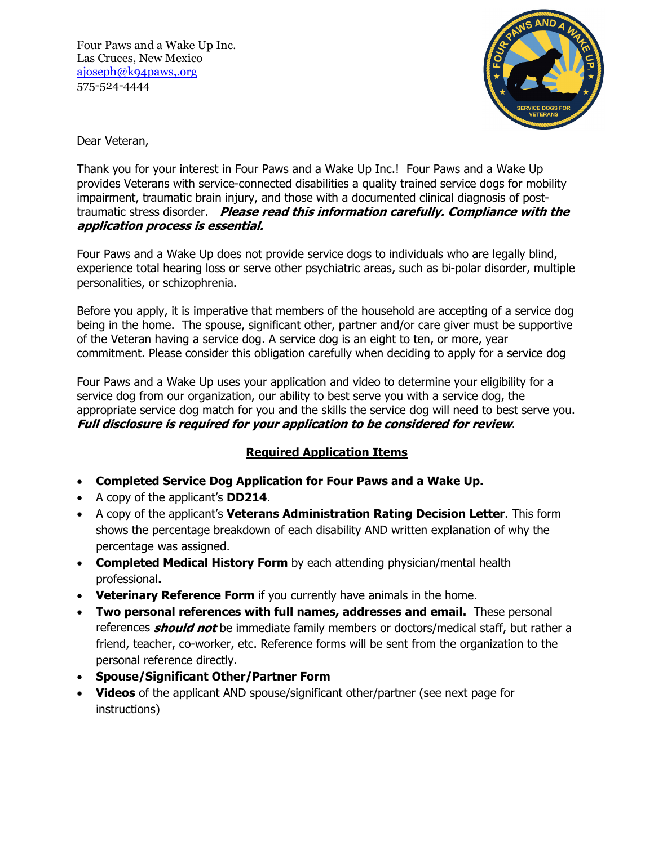Four Paws and a Wake Up Inc. Las Cruces, New Mexico ajoseph@k94paws,.org 575-524-4444



Dear Veteran,

Thank you for your interest in Four Paws and a Wake Up Inc.! Four Paws and a Wake Up provides Veterans with service-connected disabilities a quality trained service dogs for mobility impairment, traumatic brain injury, and those with a documented clinical diagnosis of posttraumatic stress disorder. **Please read this information carefully. Compliance with the application process is essential.**

Four Paws and a Wake Up does not provide service dogs to individuals who are legally blind, experience total hearing loss or serve other psychiatric areas, such as bi-polar disorder, multiple personalities, or schizophrenia.

Before you apply, it is imperative that members of the household are accepting of a service dog being in the home. The spouse, significant other, partner and/or care giver must be supportive of the Veteran having a service dog. A service dog is an eight to ten, or more, year commitment. Please consider this obligation carefully when deciding to apply for a service dog

Four Paws and a Wake Up uses your application and video to determine your eligibility for a service dog from our organization, our ability to best serve you with a service dog, the appropriate service dog match for you and the skills the service dog will need to best serve you. **Full disclosure is required for your application to be considered for review**.

## **Required Application Items**

- **Completed Service Dog Application for Four Paws and a Wake Up.**
- A copy of the applicant's **DD214**.
- A copy of the applicant's **Veterans Administration Rating Decision Letter**. This form shows the percentage breakdown of each disability AND written explanation of why the percentage was assigned.
- **Completed Medical History Form** by each attending physician/mental health professional**.**
- **Veterinary Reference Form** if you currently have animals in the home.
- **Two personal references with full names, addresses and email.** These personal references **should not** be immediate family members or doctors/medical staff, but rather a friend, teacher, co-worker, etc. Reference forms will be sent from the organization to the personal reference directly.
- **Spouse/Significant Other/Partner Form**
- **Videos** of the applicant AND spouse/significant other/partner (see next page for instructions)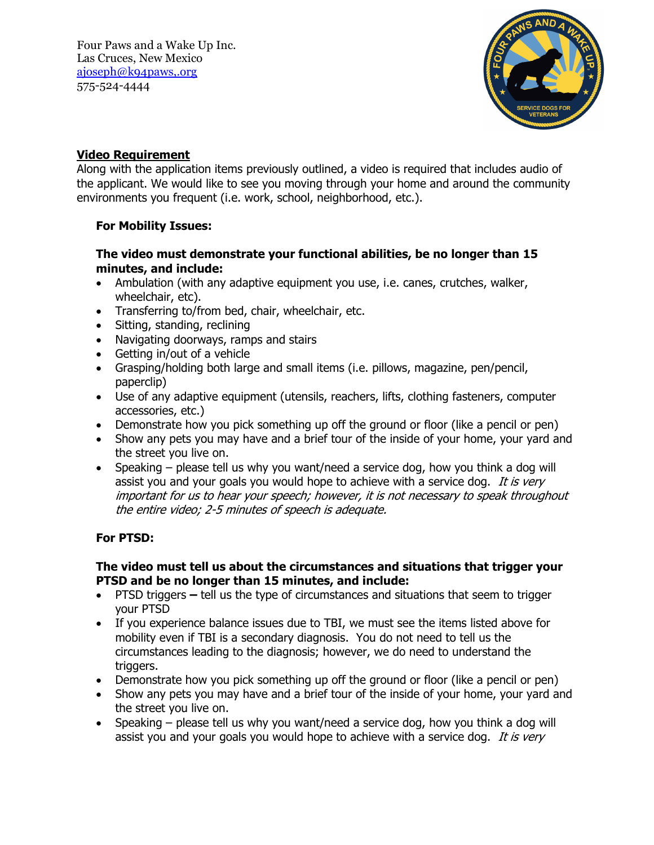

## **Video Requirement**

Along with the application items previously outlined, a video is required that includes audio of the applicant. We would like to see you moving through your home and around the community environments you frequent (i.e. work, school, neighborhood, etc.).

## **For Mobility Issues:**

## **The video must demonstrate your functional abilities, be no longer than 15 minutes, and include:**

- Ambulation (with any adaptive equipment you use, i.e. canes, crutches, walker, wheelchair, etc).
- Transferring to/from bed, chair, wheelchair, etc.
- Sitting, standing, reclining
- Navigating doorways, ramps and stairs
- Getting in/out of a vehicle
- Grasping/holding both large and small items (i.e. pillows, magazine, pen/pencil, paperclip)
- Use of any adaptive equipment (utensils, reachers, lifts, clothing fasteners, computer accessories, etc.)
- Demonstrate how you pick something up off the ground or floor (like a pencil or pen)
- Show any pets you may have and a brief tour of the inside of your home, your yard and the street you live on.
- Speaking please tell us why you want/need a service dog, how you think a dog will assist you and your goals you would hope to achieve with a service dog. It is very important for us to hear your speech; however, it is not necessary to speak throughout the entire video; 2-5 minutes of speech is adequate.

## **For PTSD:**

### **The video must tell us about the circumstances and situations that trigger your PTSD and be no longer than 15 minutes, and include:**

- PTSD triggerstell us the type of circumstances and situations that seem to trigger your PTSD
- If you experience balance issues due to TBI, we must see the items listed above for mobility even if TBI is a secondary diagnosis. You do not need to tell us the circumstances leading to the diagnosis; however, we do need to understand the triggers.
- Demonstrate how you pick something up off the ground or floor (like a pencil or pen)
- Show any pets you may have and a brief tour of the inside of your home, your yard and the street you live on.
- Speaking please tell us why you want/need a service dog, how you think a dog will assist you and your goals you would hope to achieve with a service dog. It is very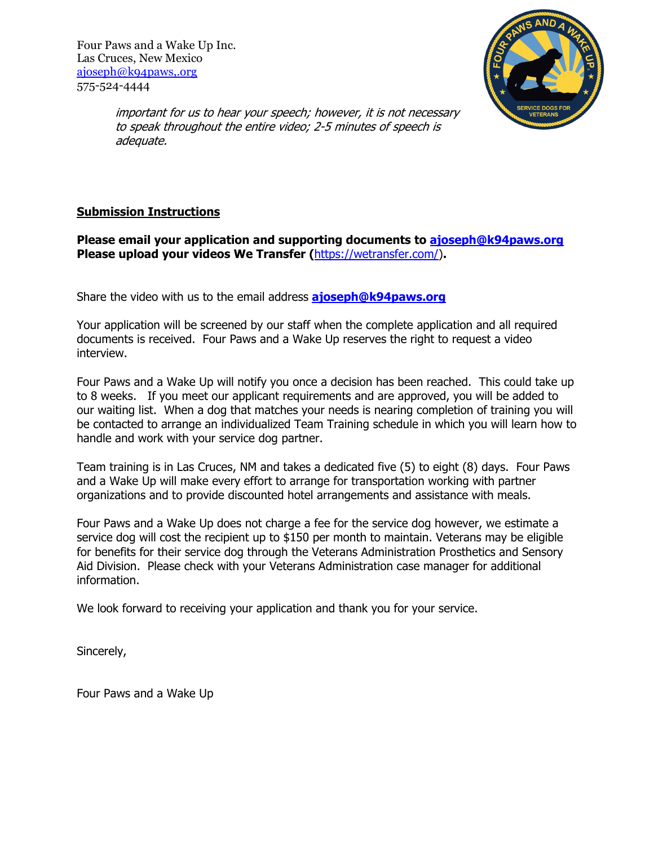

important for us to hear your speech; however, it is not necessary to speak throughout the entire video; 2-5 minutes of speech is adequate.

## **Submission Instructions**

### **Please email your application and supporting documents to ajoseph@k94paws.org Please upload your videos We Transfer (**https://wetransfer.com/)**.**

Share the video with us to the email address **ajoseph@k94paws.org** 

Your application will be screened by our staff when the complete application and all required documents is received. Four Paws and a Wake Up reserves the right to request a video interview.

Four Paws and a Wake Up will notify you once a decision has been reached. This could take up to 8 weeks. If you meet our applicant requirements and are approved, you will be added to our waiting list. When a dog that matches your needs is nearing completion of training you will be contacted to arrange an individualized Team Training schedule in which you will learn how to handle and work with your service dog partner.

Team training is in Las Cruces, NM and takes a dedicated five (5) to eight (8) days. Four Paws and a Wake Up will make every effort to arrange for transportation working with partner organizations and to provide discounted hotel arrangements and assistance with meals.

Four Paws and a Wake Up does not charge a fee for the service dog however, we estimate a service dog will cost the recipient up to \$150 per month to maintain. Veterans may be eligible for benefits for their service dog through the Veterans Administration Prosthetics and Sensory Aid Division. Please check with your Veterans Administration case manager for additional information.

We look forward to receiving your application and thank you for your service.

Sincerely,

Four Paws and a Wake Up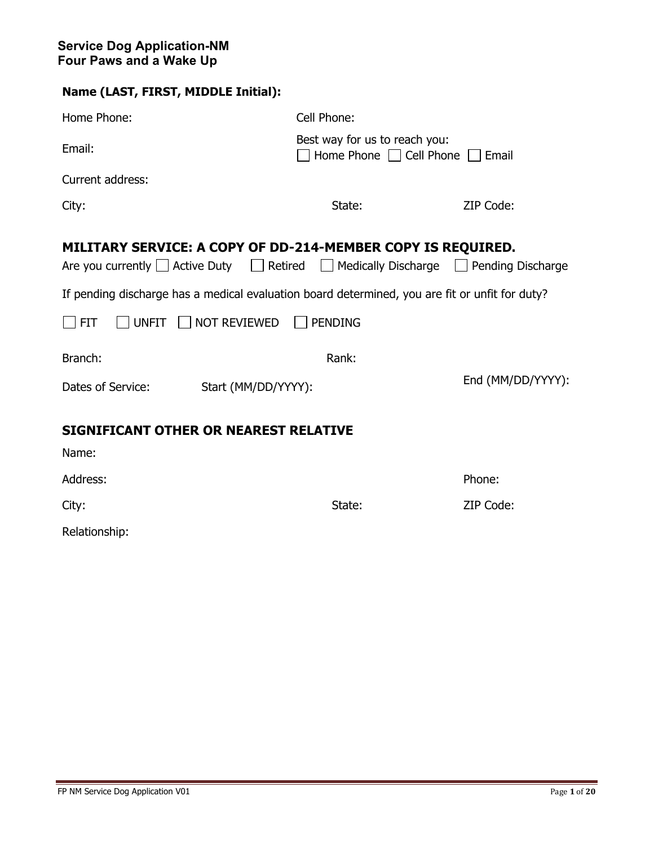| Home Phone:                                                                                                                                                            | Cell Phone:                                                         |                   |  |  |  |
|------------------------------------------------------------------------------------------------------------------------------------------------------------------------|---------------------------------------------------------------------|-------------------|--|--|--|
| Email:                                                                                                                                                                 | Best way for us to reach you:<br>Home Phone   Cell Phone  <br>Email |                   |  |  |  |
| Current address:                                                                                                                                                       |                                                                     |                   |  |  |  |
| City:                                                                                                                                                                  | State:                                                              | ZIP Code:         |  |  |  |
| MILITARY SERVICE: A COPY OF DD-214-MEMBER COPY IS REQUIRED.<br>Are you currently $\Box$ Active Duty $\Box$ Retired $\Box$ Medically Discharge $\Box$ Pending Discharge |                                                                     |                   |  |  |  |
| If pending discharge has a medical evaluation board determined, you are fit or unfit for duty?                                                                         |                                                                     |                   |  |  |  |
| UNFIT NOT REVIEWED<br><b>FIT</b>                                                                                                                                       | <b>PENDING</b>                                                      |                   |  |  |  |
| Branch:                                                                                                                                                                | Rank:                                                               |                   |  |  |  |
| Dates of Service:<br>Start (MM/DD/YYYY):                                                                                                                               |                                                                     | End (MM/DD/YYYY): |  |  |  |
| <b>SIGNIFICANT OTHER OR NEAREST RELATIVE</b>                                                                                                                           |                                                                     |                   |  |  |  |
| Name:                                                                                                                                                                  |                                                                     |                   |  |  |  |
| Address:                                                                                                                                                               |                                                                     | Phone:            |  |  |  |
| City:                                                                                                                                                                  | State:                                                              | ZIP Code:         |  |  |  |

Relationship: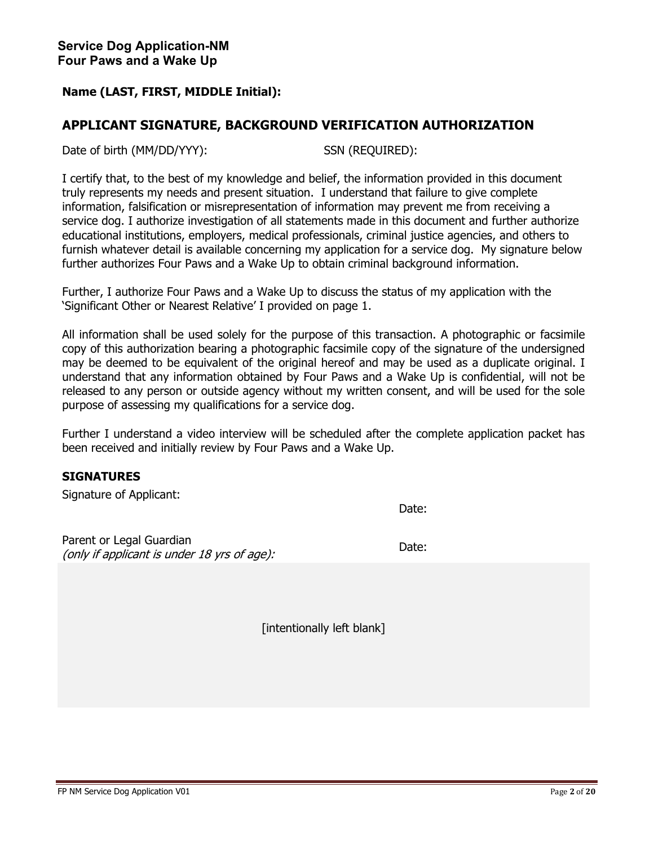## **APPLICANT SIGNATURE, BACKGROUND VERIFICATION AUTHORIZATION**

Date of birth (MM/DD/YYY): SSN (REQUIRED):

I certify that, to the best of my knowledge and belief, the information provided in this document truly represents my needs and present situation. I understand that failure to give complete information, falsification or misrepresentation of information may prevent me from receiving a service dog. I authorize investigation of all statements made in this document and further authorize educational institutions, employers, medical professionals, criminal justice agencies, and others to furnish whatever detail is available concerning my application for a service dog. My signature below further authorizes Four Paws and a Wake Up to obtain criminal background information.

Further, I authorize Four Paws and a Wake Up to discuss the status of my application with the 'Significant Other or Nearest Relative' I provided on page 1.

All information shall be used solely for the purpose of this transaction. A photographic or facsimile copy of this authorization bearing a photographic facsimile copy of the signature of the undersigned may be deemed to be equivalent of the original hereof and may be used as a duplicate original. I understand that any information obtained by Four Paws and a Wake Up is confidential, will not be released to any person or outside agency without my written consent, and will be used for the sole purpose of assessing my qualifications for a service dog.

Further I understand a video interview will be scheduled after the complete application packet has been received and initially review by Four Paws and a Wake Up.

#### **SIGNATURES**

Signature of Applicant:

Date:

Parent or Legal Guardian raient of Legal Guardian<br>(only if applicant is under 18 yrs of age):  $\qquad$ 

[intentionally left blank]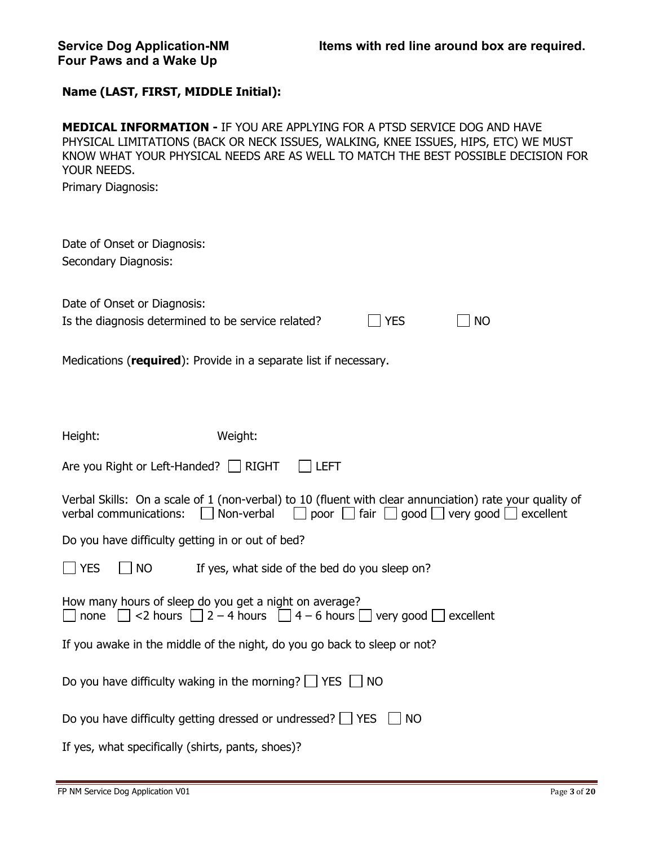| <b>MEDICAL INFORMATION - IF YOU ARE APPLYING FOR A PTSD SERVICE DOG AND HAVE</b><br>PHYSICAL LIMITATIONS (BACK OR NECK ISSUES, WALKING, KNEE ISSUES, HIPS, ETC) WE MUST<br>KNOW WHAT YOUR PHYSICAL NEEDS ARE AS WELL TO MATCH THE BEST POSSIBLE DECISION FOR<br>YOUR NEEDS. |
|-----------------------------------------------------------------------------------------------------------------------------------------------------------------------------------------------------------------------------------------------------------------------------|
| Primary Diagnosis:                                                                                                                                                                                                                                                          |
| Date of Onset or Diagnosis:                                                                                                                                                                                                                                                 |
| Secondary Diagnosis:                                                                                                                                                                                                                                                        |
| Date of Onset or Diagnosis:                                                                                                                                                                                                                                                 |
| Is the diagnosis determined to be service related?<br><b>YES</b><br><b>NO</b>                                                                                                                                                                                               |
| Medications (required): Provide in a separate list if necessary.                                                                                                                                                                                                            |
| Weight:<br>Height:                                                                                                                                                                                                                                                          |
| Are you Right or Left-Handed?   RIGHT<br><b>ILEFT</b>                                                                                                                                                                                                                       |
| Verbal Skills: On a scale of 1 (non-verbal) to 10 (fluent with clear annunciation) rate your quality of<br>Non-verbal<br>poor $\Box$ fair $\Box$ good $\Box$ very good $\Box$ excellent<br>verbal communications:                                                           |
| Do you have difficulty getting in or out of bed?                                                                                                                                                                                                                            |
| <b>YES</b><br>If yes, what side of the bed do you sleep on?<br><b>NO</b>                                                                                                                                                                                                    |
| How many hours of sleep do you get a night on average?<br>none $\Box$ <2 hours $\Box$ 2 – 4 hours $\Box$ 4 – 6 hours $\Box$ very good $\Box$ excellent                                                                                                                      |
| If you awake in the middle of the night, do you go back to sleep or not?                                                                                                                                                                                                    |
| Do you have difficulty waking in the morning? $\Box$ YES $\Box$ NO                                                                                                                                                                                                          |
| Do you have difficulty getting dressed or undressed? $\Box$ YES $\Box$ NO                                                                                                                                                                                                   |
| If yes, what specifically (shirts, pants, shoes)?                                                                                                                                                                                                                           |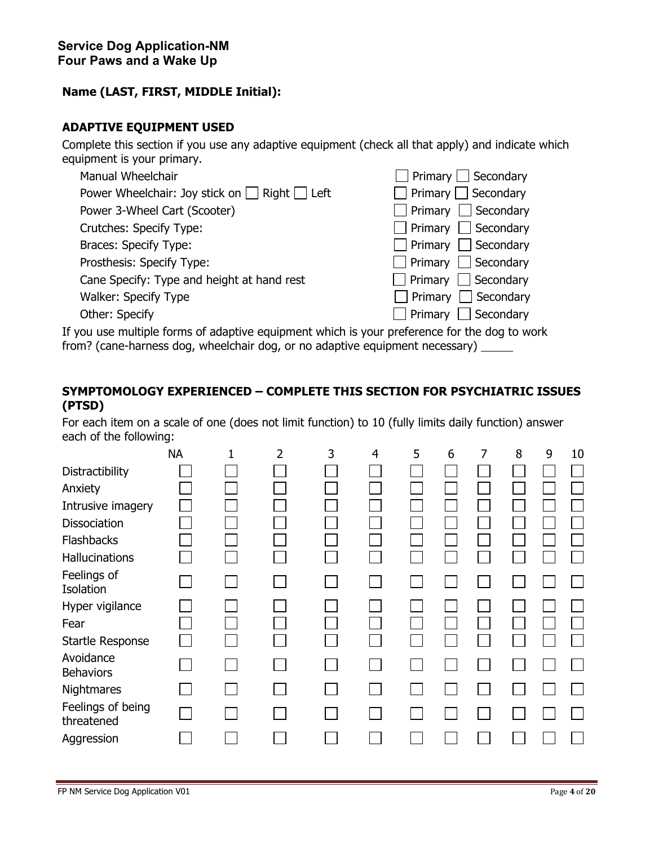### **ADAPTIVE EQUIPMENT USED**

Complete this section if you use any adaptive equipment (check all that apply) and indicate which equipment is your primary.

| Manual Wheelchair                                       | $\Box$ Primary $\Box$ Secondary |
|---------------------------------------------------------|---------------------------------|
| Power Wheelchair: Joy stick on $\Box$ Right $\Box$ Left | $\Box$ Primary $\Box$ Secondary |
| Power 3-Wheel Cart (Scooter)                            | $\Box$ Primary $\Box$ Secondary |
| Crutches: Specify Type:                                 | $\Box$ Primary $\Box$ Secondary |
| Braces: Specify Type:                                   | $\Box$ Primary $\Box$ Secondary |
| Prosthesis: Specify Type:                               | $\Box$ Primary $\Box$ Secondary |
| Cane Specify: Type and height at hand rest              | $\Box$ Primary $\Box$ Secondary |
| Walker: Specify Type                                    | $\Box$ Primary $\Box$ Secondary |
| Other: Specify                                          | $\Box$ Primary $\Box$ Secondary |

If you use multiple forms of adaptive equipment which is your preference for the dog to work from? (cane-harness dog, wheelchair dog, or no adaptive equipment necessary)

## **SYMPTOMOLOGY EXPERIENCED – COMPLETE THIS SECTION FOR PSYCHIATRIC ISSUES (PTSD)**

For each item on a scale of one (does not limit function) to 10 (fully limits daily function) answer each of the following:

|                                 | <b>NA</b> | 1 | 2 | 3 | 4 | 5 | 6 | 7 | 8 | 9 | 10 |
|---------------------------------|-----------|---|---|---|---|---|---|---|---|---|----|
| Distractibility                 |           |   |   |   |   |   |   |   |   |   |    |
| Anxiety                         |           |   |   |   |   |   |   |   |   |   |    |
| Intrusive imagery               |           |   |   |   |   |   |   |   |   |   |    |
| Dissociation                    |           |   |   |   |   |   |   |   |   |   |    |
| <b>Flashbacks</b>               |           |   |   |   |   |   |   |   |   |   |    |
| Hallucinations                  |           |   |   |   |   |   |   |   |   |   |    |
| Feelings of<br>Isolation        |           |   |   |   |   |   |   |   |   |   |    |
| Hyper vigilance                 |           |   |   |   |   |   |   |   |   |   |    |
| Fear                            |           |   |   |   |   |   |   |   |   |   |    |
| Startle Response                |           |   |   |   |   |   |   |   |   |   |    |
| Avoidance<br><b>Behaviors</b>   |           |   |   |   |   |   |   |   |   |   |    |
| Nightmares                      |           |   |   |   |   |   |   |   |   |   |    |
| Feelings of being<br>threatened |           |   |   |   |   |   |   |   |   |   |    |
| Aggression                      |           |   |   |   |   |   |   |   |   |   |    |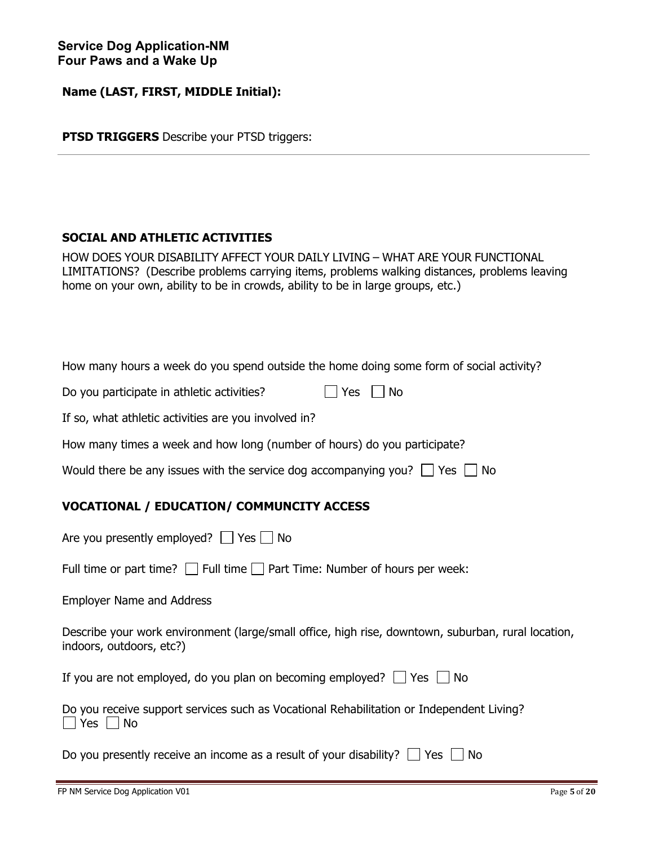**PTSD TRIGGERS** Describe your PTSD triggers:

### **SOCIAL AND ATHLETIC ACTIVITIES**

HOW DOES YOUR DISABILITY AFFECT YOUR DAILY LIVING – WHAT ARE YOUR FUNCTIONAL LIMITATIONS?(Describe problems carrying items, problems walking distances, problems leaving home on your own, ability to be in crowds, ability to be in large groups, etc.)

| How many hours a week do you spend outside the home doing some form of social activity? |  |  |  |  |  |  |  |
|-----------------------------------------------------------------------------------------|--|--|--|--|--|--|--|
|-----------------------------------------------------------------------------------------|--|--|--|--|--|--|--|

|  |  |  | Do you participate in athletic activities? |  | $\Box$ Yes $\Box$ No |
|--|--|--|--------------------------------------------|--|----------------------|
|--|--|--|--------------------------------------------|--|----------------------|

If so, what athletic activities are you involved in?

How many times a week and how long (number of hours) do you participate?

| Would there be any issues with the service dog accompanying you? $\Box$ Yes $\Box$ No |  |  |  |
|---------------------------------------------------------------------------------------|--|--|--|
|---------------------------------------------------------------------------------------|--|--|--|

## **VOCATIONAL / EDUCATION/ COMMUNCITY ACCESS**

| Are you presently employed? $\Box$ Yes $\Box$ No                                                                               |
|--------------------------------------------------------------------------------------------------------------------------------|
| Full time or part time? $\Box$ Full time $\Box$ Part Time: Number of hours per week:                                           |
| <b>Employer Name and Address</b>                                                                                               |
| Describe your work environment (large/small office, high rise, downtown, suburban, rural location,<br>indoors, outdoors, etc?) |
| If you are not employed, do you plan on becoming employed? $\Box$ Yes $\Box$ No                                                |
| Do you receive support services such as Vocational Rehabilitation or Independent Living?<br>$\Box$ Yes $\Box$ No               |
| Do you presently receive an income as a result of your disability? $\Box$<br>Yes<br>No.                                        |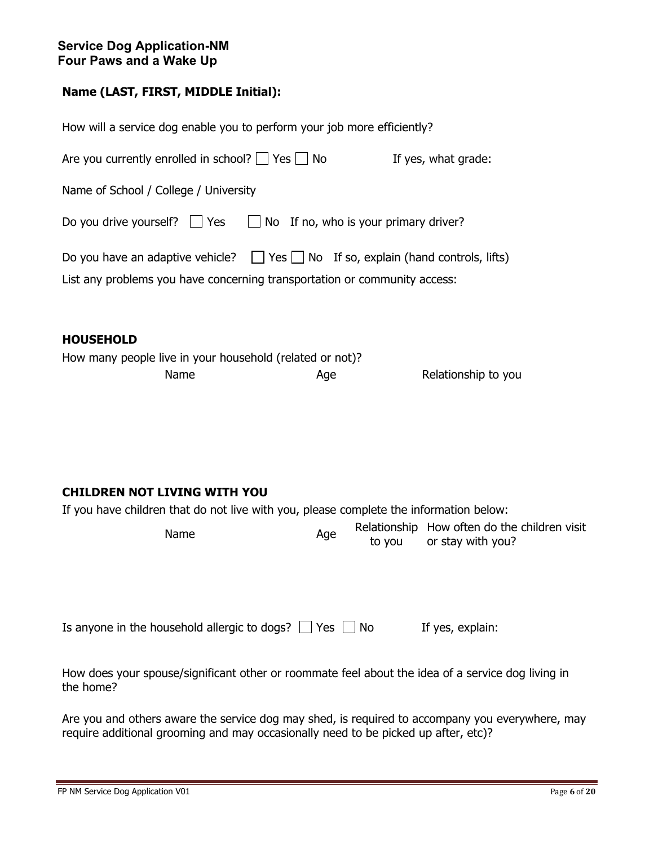## **Service Dog Application-NM Four Paws and a Wake Up**

# **Name (LAST, FIRST, MIDDLE Initial):**

| How will a service dog enable you to perform your job more efficiently?                                                                                                                                                     |
|-----------------------------------------------------------------------------------------------------------------------------------------------------------------------------------------------------------------------------|
| Are you currently enrolled in school? $\Box$ Yes $\Box$ No<br>If yes, what grade:                                                                                                                                           |
| Name of School / College / University                                                                                                                                                                                       |
| $\Box$ No If no, who is your primary driver?<br>Do you drive yourself? $\Box$ Yes                                                                                                                                           |
| Do you have an adaptive vehicle? $\Box$ Yes $\Box$ No If so, explain (hand controls, lifts)<br>List any problems you have concerning transportation or community access:                                                    |
| <b>HOUSEHOLD</b><br>How many people live in your household (related or not)?<br>Name<br>Relationship to you<br>Age                                                                                                          |
| <b>CHILDREN NOT LIVING WITH YOU</b><br>If you have children that do not live with you, please complete the information below:<br>Relationship How often do the children visit<br>Name<br>Age<br>or stay with you?<br>to you |
| Is anyone in the household allergic to dogs? $\Box$ Yes $\Box$ No<br>If yes, explain:                                                                                                                                       |
| How does your spouse/significant other or roommate feel about the idea of a service dog living in<br>the home?                                                                                                              |
| Are you and others aware the service dog may shed, is required to accompany you everywhere, may<br>require additional grooming and may occasionally need to be picked up after, etc)?                                       |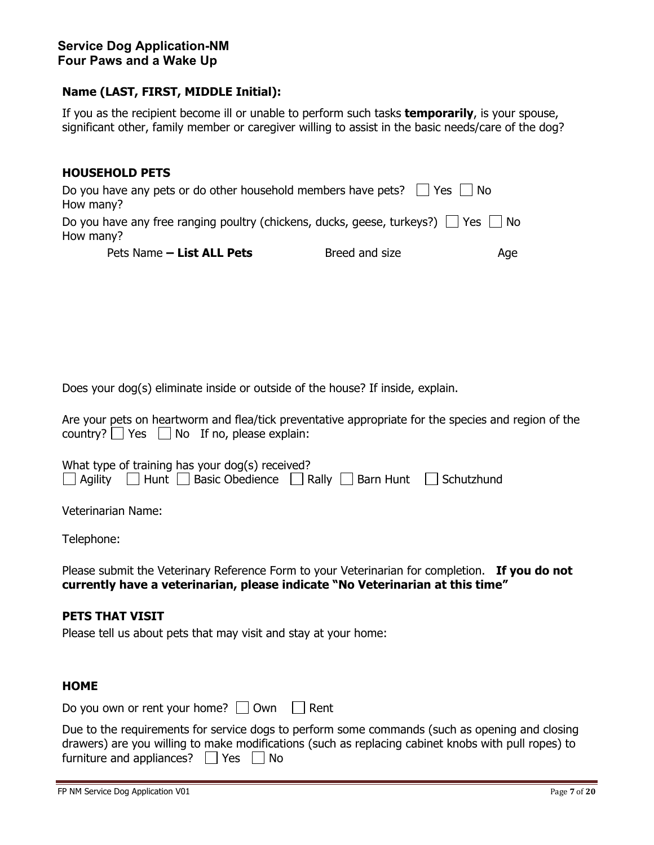If you as the recipient become ill or unable to perform such tasks **temporarily**, is your spouse, significant other, family member or caregiver willing to assist in the basic needs/care of the dog?

| <b>HOUSEHOLD PETS</b>                                                                                     |                |     |
|-----------------------------------------------------------------------------------------------------------|----------------|-----|
| Do you have any pets or do other household members have pets? $\vert$ Yes $\vert$ No<br>How many?         |                |     |
| Do you have any free ranging poultry (chickens, ducks, geese, turkeys?) $\Box$ Yes $\Box$ No<br>How many? |                |     |
| Pets Name - List ALL Pets                                                                                 | Breed and size | Age |

Does your dog(s) eliminate inside or outside of the house? If inside, explain.

Are your pets on heartworm and flea/tick preventative appropriate for the species and region of the country?  $\Box$  Yes  $\Box$  No If no, please explain:

|  | What type of training has your dog(s) received? |                                                                                                   |
|--|-------------------------------------------------|---------------------------------------------------------------------------------------------------|
|  |                                                 | $\Box$ Agility $\Box$ Hunt $\Box$ Basic Obedience $\Box$ Rally $\Box$ Barn Hunt $\Box$ Schutzhund |

Veterinarian Name:

Telephone:

Please submit the Veterinary Reference Form to your Veterinarian for completion. **If you do not currently have a veterinarian, please indicate "No Veterinarian at this time"** 

#### **PETS THAT VISIT**

Please tell us about pets that may visit and stay at your home:

#### **HOME**

Do you own or rent your home?  $\Box$  Own  $\Box$  Rent

|                                                | Due to the requirements for service dogs to perform some commands (such as opening and closing      |
|------------------------------------------------|-----------------------------------------------------------------------------------------------------|
|                                                | drawers) are you willing to make modifications (such as replacing cabinet knobs with pull ropes) to |
| furniture and appliances? $\Box$ Yes $\Box$ No |                                                                                                     |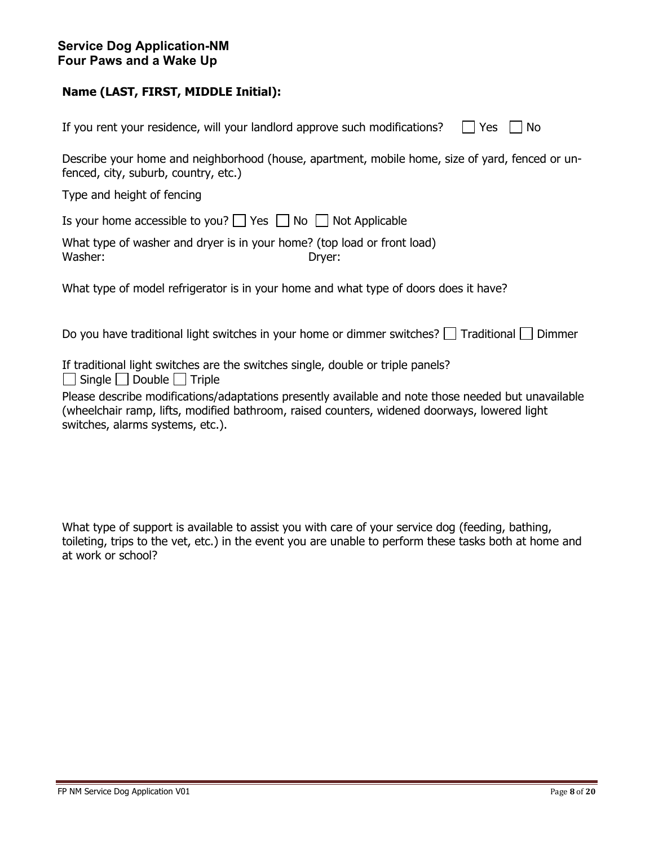|  |  |  | If you rent your residence, will your landlord approve such modifications? $\Box$ Yes $\Box$ No |  |
|--|--|--|-------------------------------------------------------------------------------------------------|--|
|  |  |  |                                                                                                 |  |

Describe your home and neighborhood (house, apartment, mobile home, size of yard, fenced or unfenced, city, suburb, country, etc.)

Type and height of fencing

Is your home accessible to you?  $\Box$  Yes  $\Box$  No  $\Box$  Not Applicable

|         | What type of washer and dryer is in your home? (top load or front load) |
|---------|-------------------------------------------------------------------------|
| Washer: | Dryer:                                                                  |

What type of model refrigerator is in your home and what type of doors does it have?

Do you have traditional light switches in your home or dimmer switches?  $\Box$  Traditional  $\Box$  Dimmer

If traditional light switches are the switches single, double or triple panels?  $\Box$  Single  $\Box$  Double  $\Box$  Triple

Please describe modifications/adaptations presently available and note those needed but unavailable (wheelchair ramp, lifts, modified bathroom, raised counters, widened doorways, lowered light switches, alarms systems, etc.).

What type of support is available to assist you with care of your service dog (feeding, bathing, toileting, trips to the vet, etc.) in the event you are unable to perform these tasks both at home and at work or school?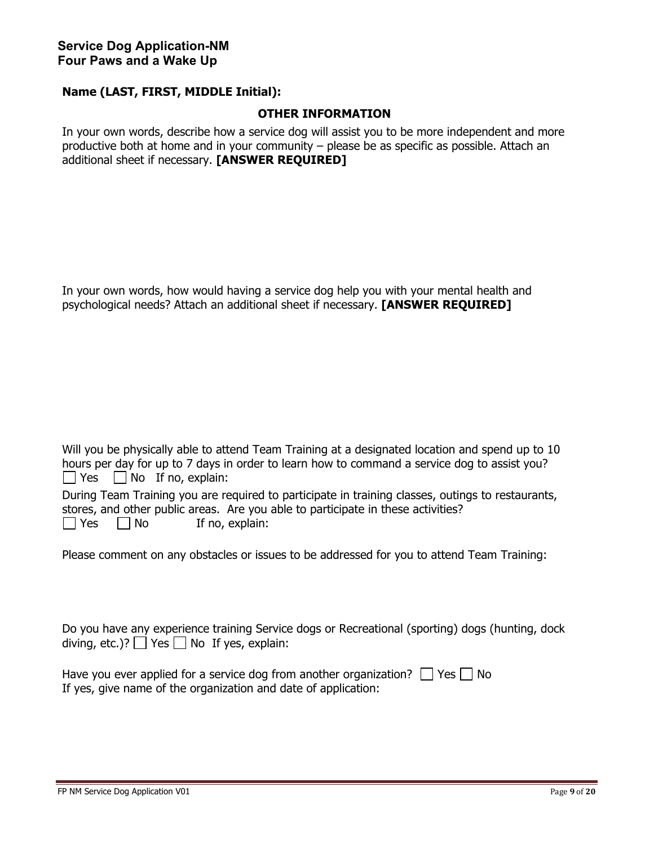#### **OTHER INFORMATION**

In your own words, describe how a service dog will assist you to be more independent and more productive both at home and in your community – please be as specific as possible. Attach an additional sheet if necessary. **[ANSWER REQUIRED]**

In your own words, how would having a service dog help you with your mental health and psychological needs? Attach an additional sheet if necessary. **[ANSWER REQUIRED]**

Will you be physically able to attend Team Training at a designated location and spend up to 10 hours per day for up to 7 days in order to learn how to command a service dog to assist you?  $\Box$  Yes  $\Box$  No If no, explain:

During Team Training you are required to participate in training classes, outings to restaurants, stores, and other public areas. Are you able to participate in these activities?  $\Box$  Yes  $\Box$  No If no, explain:

Please comment on any obstacles or issues to be addressed for you to attend Team Training:

Do you have any experience training Service dogs or Recreational (sporting) dogs (hunting, dock diving, etc.)?  $\Box$  Yes  $\Box$  No If yes, explain:

| Have you ever applied for a service dog from another organization? $\Box$ Yes $\Box$ No |  |
|-----------------------------------------------------------------------------------------|--|
| If yes, give name of the organization and date of application:                          |  |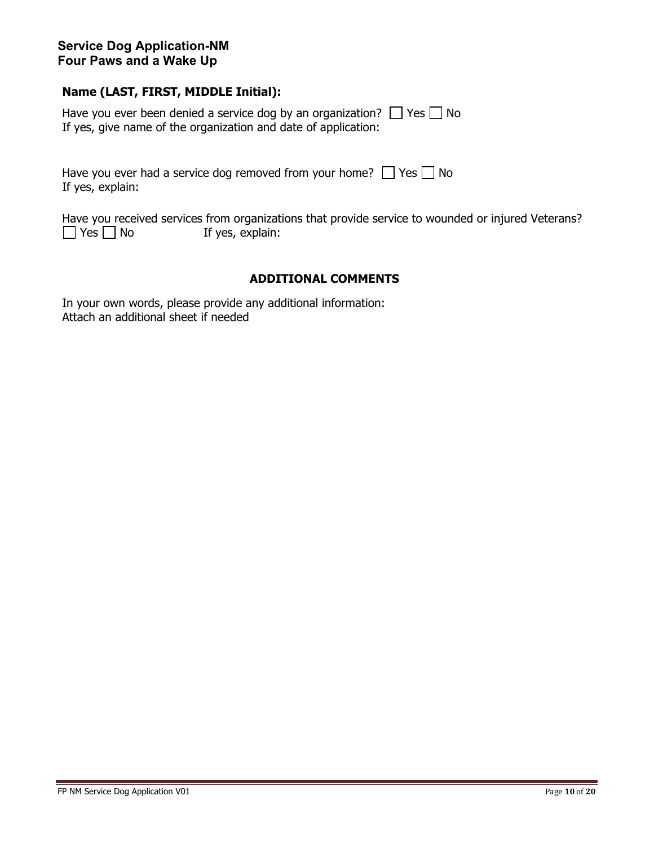### **Service Dog Application-NM Four Paws and a Wake Up**

### **Name (LAST, FIRST, MIDDLE Initial):**

Have you ever been denied a service dog by an organization?  $\Box$  Yes  $\Box$  No If yes, give name of the organization and date of application:

| Have you ever had a service dog removed from your home? $\Box$ Yes $\Box$ No |  |
|------------------------------------------------------------------------------|--|
| If yes, explain:                                                             |  |

Have you received services from organizations that provide service to wounded or injured Veterans?<br>  $\Box$  Yes  $\Box$  No If yes, explain: If yes, explain:

### **ADDITIONAL COMMENTS**

In your own words, please provide any additional information: Attach an additional sheet if needed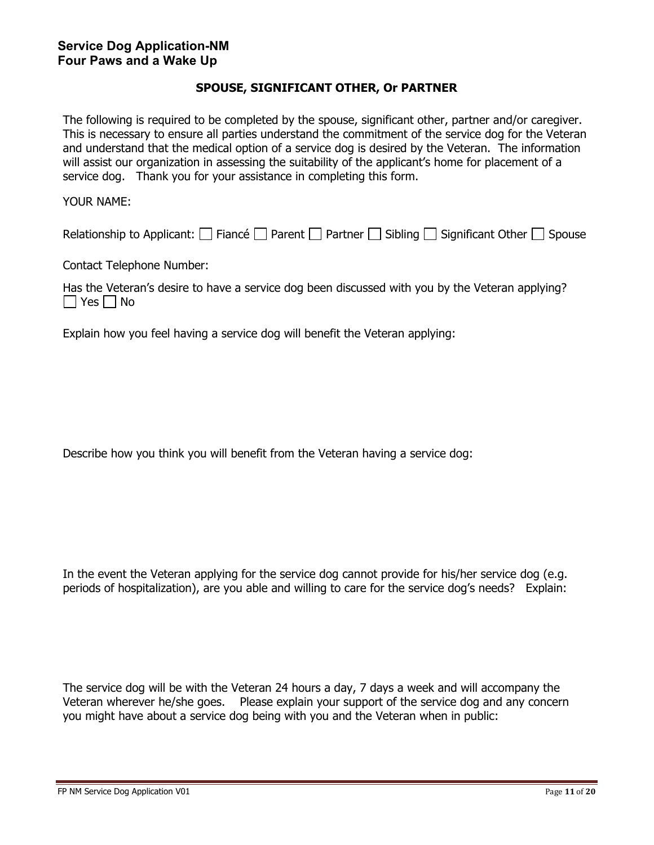#### **SPOUSE, SIGNIFICANT OTHER, Or PARTNER**

The following is required to be completed by the spouse, significant other, partner and/or caregiver. This is necessary to ensure all parties understand the commitment of the service dog for the Veteran and understand that the medical option of a service dog is desired by the Veteran. The information will assist our organization in assessing the suitability of the applicant's home for placement of a service dog. Thank you for your assistance in completing this form.

YOUR NAME:

Relationship to Applicant:  $\Box$  Fiance  $\Box$  Parent  $\Box$  Partner  $\Box$  Sibling  $\Box$  Significant Other  $\Box$  Spouse

Contact Telephone Number:

Has the Veteran's desire to have a service dog been discussed with you by the Veteran applying? No Res No

Explain how you feel having a service dog will benefit the Veteran applying:

Describe how you think you will benefit from the Veteran having a service dog:

In the event the Veteran applying for the service dog cannot provide for his/her service dog (e.g. periods of hospitalization), are you able and willing to care for the service dog's needs? Explain:

The service dog will be with the Veteran 24 hours a day, 7 days a week and will accompany the Veteran wherever he/she goes. Please explain your support of the service dog and any concern you might have about a service dog being with you and the Veteran when in public: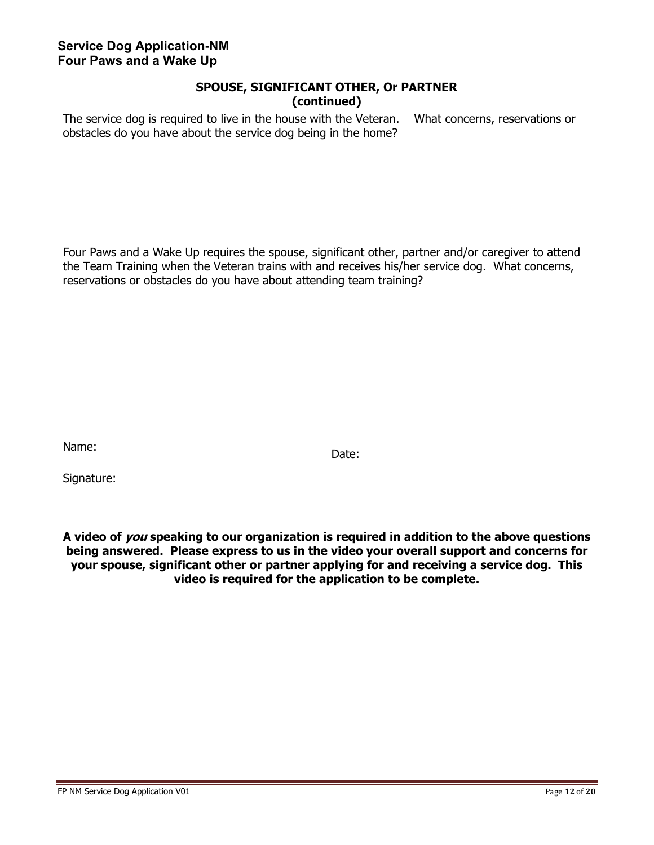### **SPOUSE, SIGNIFICANT OTHER, Or PARTNER (continued)**

The service dog is required to live in the house with the Veteran. What concerns, reservations or obstacles do you have about the service dog being in the home?

Four Paws and a Wake Up requires the spouse, significant other, partner and/or caregiver to attend the Team Training when the Veteran trains with and receives his/her service dog. What concerns, reservations or obstacles do you have about attending team training?

Name: Sample and the contract of the contract of the Date:

Signature:

**A video of you speaking to our organization is required in addition to the above questions being answered. Please express to us in the video your overall support and concerns for your spouse, significant other or partner applying for and receiving a service dog. This video is required for the application to be complete.**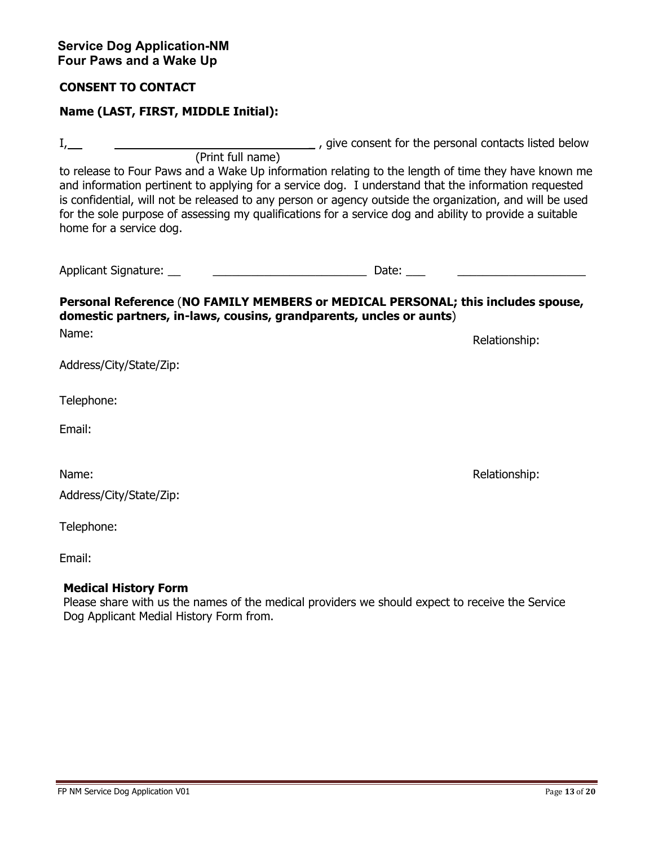### **CONSENT TO CONTACT**

## **Name (LAST, FIRST, MIDDLE Initial):**

I, the personal contacts listed below and  $\alpha$ , give consent for the personal contacts listed below (Print full name)

to release to Four Paws and a Wake Up information relating to the length of time they have known me and information pertinent to applying for a service dog. I understand that the information requested is confidential, will not be released to any person or agency outside the organization, and will be used for the sole purpose of assessing my qualifications for a service dog and ability to provide a suitable home for a service dog.

| <b>Applicant Signature:</b> | Jate |  |
|-----------------------------|------|--|
|-----------------------------|------|--|

## **Personal Reference** (**NO FAMILY MEMBERS or MEDICAL PERSONAL; this includes spouse, domestic partners, in-laws, cousins, grandparents, uncles or aunts**)

Name: Name: Relationship: Relationship: Relationship: Relationship: Relationship: Relationship: Relationship: Relationship: Relationship: Relationship: Relationship: Relationship: Relationship: Relationship: Relationship:

| Address/City/State/Zip: |
|-------------------------|

Telephone:

Email:

Name: Relationship:  $\blacksquare$ 

Address/City/State/Zip:

Telephone:

Email:

## **Medical History Form**

Please share with us the names of the medical providers we should expect to receive the Service Dog Applicant Medial History Form from.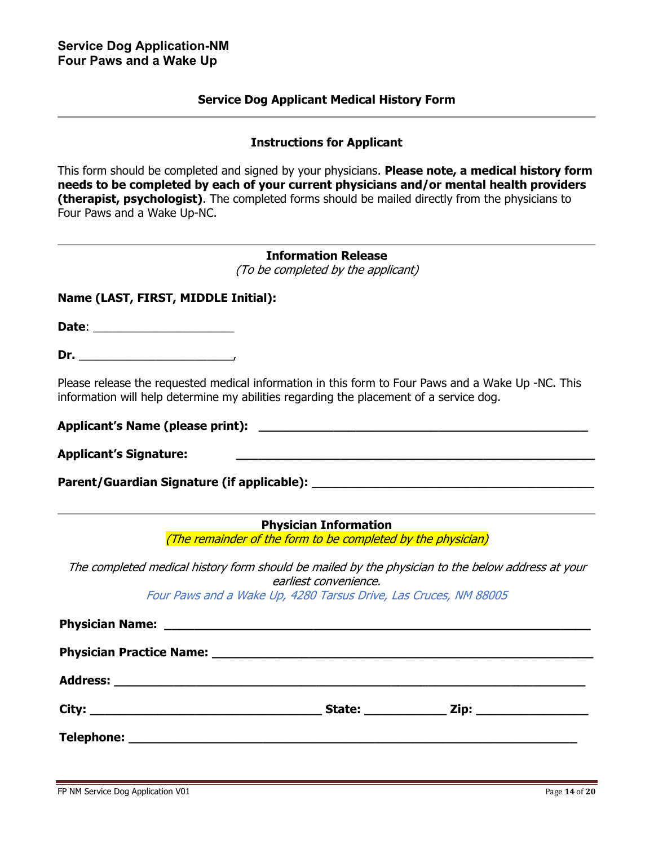#### **Service Dog Applicant Medical History Form**

#### **Instructions for Applicant**

This form should be completed and signed by your physicians. **Please note, a medical history form needs to be completed by each of your current physicians and/or mental health providers (therapist, psychologist)**. The completed forms should be mailed directly from the physicians to Four Paws and a Wake Up-NC.

## **Information Release**

(To be completed by the applicant)

#### **Name (LAST, FIRST, MIDDLE Initial):**

**Date**: \_\_\_\_\_\_\_\_\_\_\_\_\_\_\_\_\_\_\_\_\_\_

**Dr.** \_\_\_\_\_\_\_\_\_\_\_\_\_\_\_\_\_\_\_\_\_\_\_\_,

Please release the requested medical information in this form to Four Paws and a Wake Up -NC. This information will help determine my abilities regarding the placement of a service dog.

**Applicant's Name (please print): \_\_\_\_\_\_\_\_\_\_\_\_\_\_\_\_\_\_\_\_\_\_\_\_\_\_\_\_\_\_\_\_\_\_\_\_\_\_\_\_\_\_\_\_** 

**Applicant's Signature: \_\_\_\_\_\_\_\_\_\_\_\_\_\_\_\_\_\_\_\_\_\_\_\_\_\_\_\_\_\_\_\_\_\_\_\_\_\_\_\_\_\_\_\_\_\_\_\_** 

Parent/Guardian Signature (if applicable): **where the set of the set of the set of the set of the set of the set o** 

#### **Physician Information**

(The remainder of the form to be completed by the physician)

The completed medical history form should be mailed by the physician to the below address at your earliest convenience.

Four Paws and a Wake Up, 4280 Tarsus Drive, Las Cruces, NM 88005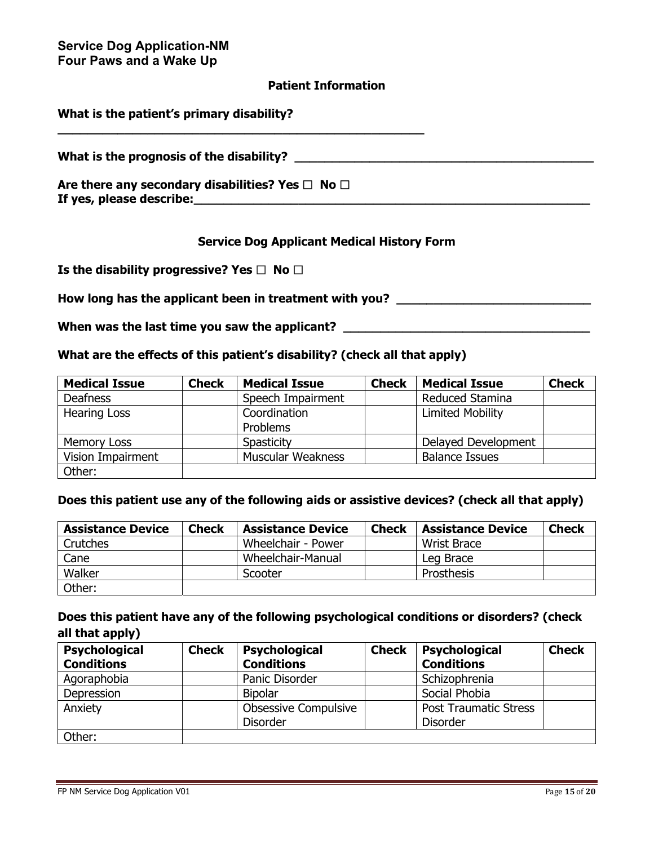#### **Patient Information**

| What is the patient's primary disability?                                              |  |
|----------------------------------------------------------------------------------------|--|
| What is the prognosis of the disability?                                               |  |
| Are there any secondary disabilities? Yes $\Box$ No $\Box$<br>If yes, please describe: |  |

### **Service Dog Applicant Medical History Form**

**Is the disability progressive? Yes □ No □** 

How long has the applicant been in treatment with you? \_\_\_\_\_\_\_\_\_\_\_\_\_\_\_\_\_\_\_\_\_\_\_\_\_

When was the last time you saw the applicant? \_\_\_\_\_\_\_\_\_\_\_\_\_\_\_\_\_\_\_\_\_\_\_\_\_\_\_\_\_\_\_\_\_\_

#### **What are the effects of this patient's disability? (check all that apply)**

| <b>Medical Issue</b> | <b>Check</b> | <b>Medical Issue</b>     | <b>Check</b> | <b>Medical Issue</b>    | <b>Check</b> |
|----------------------|--------------|--------------------------|--------------|-------------------------|--------------|
| <b>Deafness</b>      |              | Speech Impairment        |              | Reduced Stamina         |              |
| <b>Hearing Loss</b>  |              | Coordination             |              | <b>Limited Mobility</b> |              |
|                      |              | <b>Problems</b>          |              |                         |              |
| Memory Loss          |              | Spasticity               |              | Delayed Development     |              |
| Vision Impairment    |              | <b>Muscular Weakness</b> |              | <b>Balance Issues</b>   |              |
| Other:               |              |                          |              |                         |              |

#### **Does this patient use any of the following aids or assistive devices? (check all that apply)**

| <b>Assistance Device</b> | <b>Check</b> | <b>Assistance Device</b> | <b>Check</b> | <b>Assistance Device</b> | <b>Check</b> |
|--------------------------|--------------|--------------------------|--------------|--------------------------|--------------|
| Crutches                 |              | Wheelchair - Power       |              | Wrist Brace              |              |
| Cane                     |              | Wheelchair-Manual        |              | Leg Brace                |              |
| Walker                   |              | Scooter                  |              | Prosthesis               |              |
| Other:                   |              |                          |              |                          |              |

## **Does this patient have any of the following psychological conditions or disorders? (check all that apply)**

| <b>Psychological</b> | <b>Check</b> | <b>Psychological</b>        | <b>Check</b> | <b>Psychological</b>         | <b>Check</b> |
|----------------------|--------------|-----------------------------|--------------|------------------------------|--------------|
| <b>Conditions</b>    |              | <b>Conditions</b>           |              | <b>Conditions</b>            |              |
| Agoraphobia          |              | Panic Disorder              |              | Schizophrenia                |              |
| Depression           |              | <b>Bipolar</b>              |              | Social Phobia                |              |
| Anxiety              |              | <b>Obsessive Compulsive</b> |              | <b>Post Traumatic Stress</b> |              |
|                      |              | <b>Disorder</b>             |              | <b>Disorder</b>              |              |
| Other:               |              |                             |              |                              |              |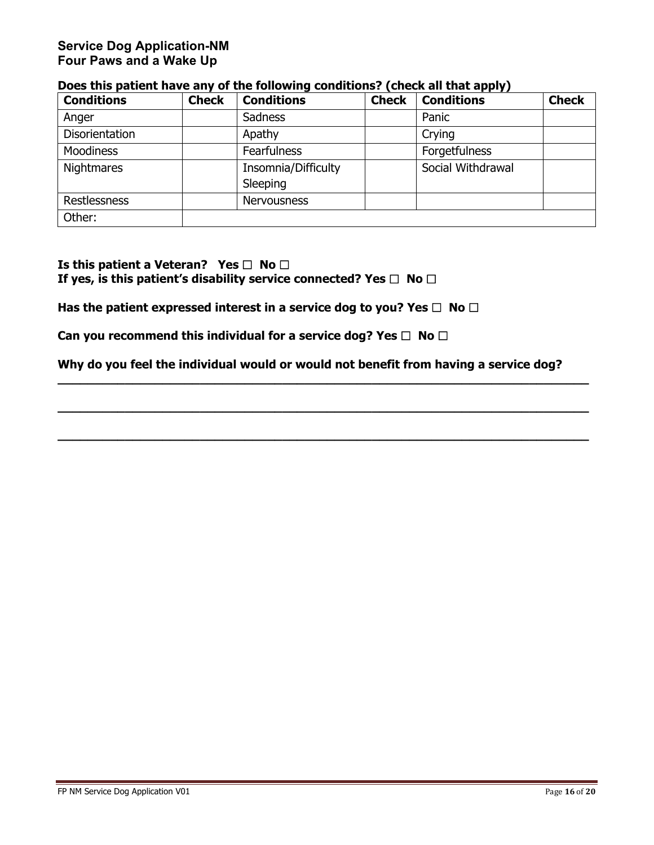## **Service Dog Application-NM Four Paws and a Wake Up**

| <b>Conditions</b>   | <b>Check</b> | <b>Conditions</b>               | <b>Check</b> | <b>Conditions</b> | <b>Check</b> |
|---------------------|--------------|---------------------------------|--------------|-------------------|--------------|
| Anger               |              | <b>Sadness</b>                  |              | Panic             |              |
| Disorientation      |              | Apathy                          |              | Crying            |              |
| <b>Moodiness</b>    |              | <b>Fearfulness</b>              |              | Forgetfulness     |              |
| <b>Nightmares</b>   |              | Insomnia/Difficulty<br>Sleeping |              | Social Withdrawal |              |
| <b>Restlessness</b> |              | <b>Nervousness</b>              |              |                   |              |
| Other:              |              |                                 |              |                   |              |

### **Does this patient have any of the following conditions? (check all that apply)**

**Is this patient a Veteran?** Yes  $\Box$  No  $\Box$ If yes, is this patient's disability service connected? Yes  $\Box$  No  $\Box$ 

Has the patient expressed interest in a service dog to you? Yes □ No □

**Can you recommend this individual for a service dog? Yes □ No □** 

**Why do you feel the individual would or would not benefit from having a service dog?** 

**\_\_\_\_\_\_\_\_\_\_\_\_\_\_\_\_\_\_\_\_\_\_\_\_\_\_\_\_\_\_\_\_\_\_\_\_\_\_\_\_\_\_\_\_\_\_\_\_\_\_\_\_\_\_\_\_\_\_\_\_\_\_\_\_\_\_\_\_\_\_\_**

**\_\_\_\_\_\_\_\_\_\_\_\_\_\_\_\_\_\_\_\_\_\_\_\_\_\_\_\_\_\_\_\_\_\_\_\_\_\_\_\_\_\_\_\_\_\_\_\_\_\_\_\_\_\_\_\_\_\_\_\_\_\_\_\_\_\_\_\_\_\_\_**

**\_\_\_\_\_\_\_\_\_\_\_\_\_\_\_\_\_\_\_\_\_\_\_\_\_\_\_\_\_\_\_\_\_\_\_\_\_\_\_\_\_\_\_\_\_\_\_\_\_\_\_\_\_\_\_\_\_\_\_\_\_\_\_\_\_\_\_\_\_\_\_**